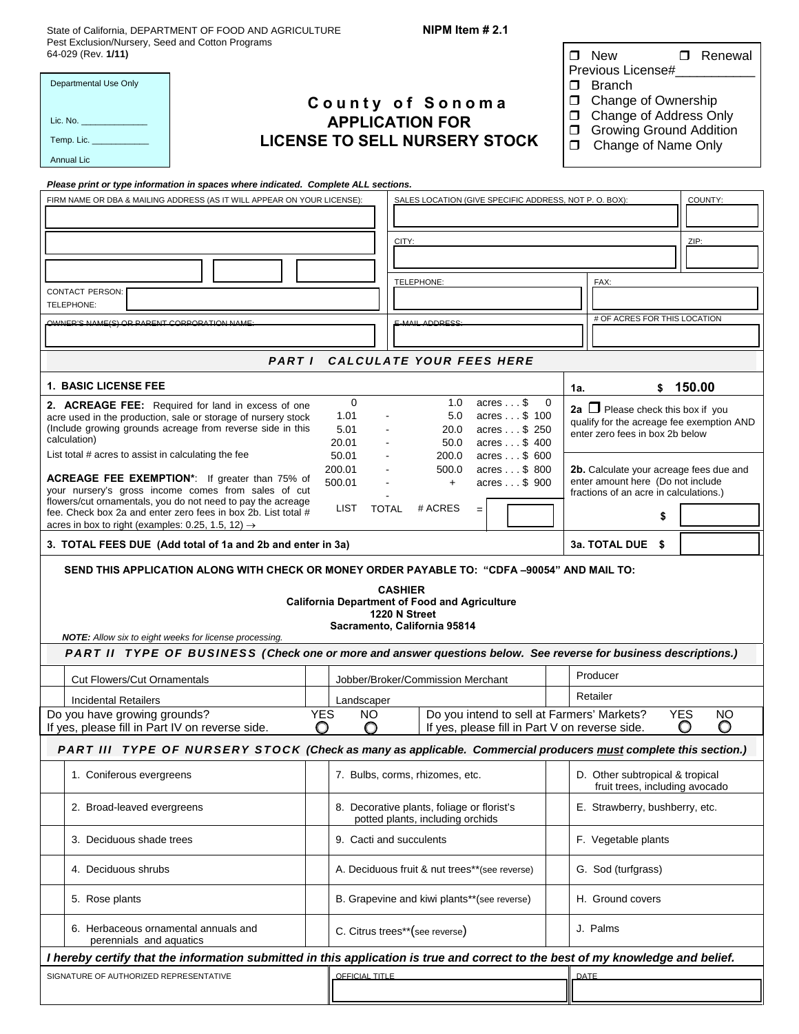State of California, DEPARTMENT OF FOOD AND AGRICULTURE Pest Exclusion/Nursery, Seed and Cotton Programs

**NIPM Item # 2.1** 

| Pest Exclusion/Nursery, Seed and Cotton Programs<br>64-029 (Rev. 1/11)<br>Departmental Use Only<br>County of Sonoma<br><b>APPLICATION FOR</b><br><b>LICENSE TO SELL NURSERY STOCK</b><br>Temp. Lic.<br>Annual Lic<br>Please print or type information in spaces where indicated. Complete ALL sections.<br>FIRM NAME OR DBA & MAILING ADDRESS (AS IT WILL APPEAR ON YOUR LICENSE):<br>SALES LOCATION (GIVE SPECIFIC ADDRESS, NOT P. O. BOX):<br>CITY:<br>TELEPHONE:<br><b>CONTACT PERSON:</b><br>TELEPHONE:<br>OWNER'S NAME(S) OR PARENT CORPORATION NAME:<br><b>E-MAIL ADDRESS</b> |                                 |                                                                                | □ Renewal<br>$\Box$ New<br>Previous License#<br>Branch<br>□<br><b>Change of Ownership</b><br>$\Box$<br>Change of Address Only<br>$\Box$<br><b>Growing Ground Addition</b><br>Ω.<br>Change of Name Only<br>⊓<br>COUNTY:<br>ZIP:<br>FAX:<br># OF ACRES FOR THIS LOCATION |  |  |  |  |  |
|-------------------------------------------------------------------------------------------------------------------------------------------------------------------------------------------------------------------------------------------------------------------------------------------------------------------------------------------------------------------------------------------------------------------------------------------------------------------------------------------------------------------------------------------------------------------------------------|---------------------------------|--------------------------------------------------------------------------------|------------------------------------------------------------------------------------------------------------------------------------------------------------------------------------------------------------------------------------------------------------------------|--|--|--|--|--|
|                                                                                                                                                                                                                                                                                                                                                                                                                                                                                                                                                                                     |                                 |                                                                                |                                                                                                                                                                                                                                                                        |  |  |  |  |  |
| <b>CALCULATE YOUR FEES HERE</b><br>PARTI                                                                                                                                                                                                                                                                                                                                                                                                                                                                                                                                            |                                 |                                                                                |                                                                                                                                                                                                                                                                        |  |  |  |  |  |
| <b>1. BASIC LICENSE FEE</b>                                                                                                                                                                                                                                                                                                                                                                                                                                                                                                                                                         |                                 |                                                                                | \$150.00<br>1a.                                                                                                                                                                                                                                                        |  |  |  |  |  |
| $\mathbf 0$<br>1.0<br>$acres \ldots$ \$<br>$\overline{\phantom{0}}$<br>2. ACREAGE FEE: Required for land in excess of one<br>1.01<br>$acres \dots$ \$ 100<br>5.0<br>acre used in the production, sale or storage of nursery stock<br>(Include growing grounds acreage from reverse side in this<br>5.01<br>20.0<br>acres \$ 250<br>calculation)<br>20.01<br>50.0<br>acres \$400<br>List total # acres to assist in calculating the fee<br>50.01<br>200.0<br>$acres \dots$ \$ 600                                                                                                    |                                 |                                                                                | 2a $\Box$ Please check this box if you<br>qualify for the acreage fee exemption AND<br>enter zero fees in box 2b below                                                                                                                                                 |  |  |  |  |  |
| acres \$ 800<br>200.01<br>500.0<br>ACREAGE FEE EXEMPTION*: If greater than 75% of<br>500.01<br>acres \$ 900<br>$+$<br>your nursery's gross income comes from sales of cut<br>flowers/cut ornamentals, you do not need to pay the acreage<br># ACRES<br><b>LIST</b><br>TOTAL<br>$=$<br>fee. Check box 2a and enter zero fees in box 2b. List total #                                                                                                                                                                                                                                 |                                 |                                                                                | 2b. Calculate your acreage fees due and<br>enter amount here (Do not include<br>fractions of an acre in calculations.)<br>\$                                                                                                                                           |  |  |  |  |  |
| acres in box to right (examples: 0.25, 1.5, 12) $\rightarrow$<br>3. TOTAL FEES DUE (Add total of 1a and 2b and enter in 3a)                                                                                                                                                                                                                                                                                                                                                                                                                                                         |                                 |                                                                                | 3a. TOTAL DUE \$                                                                                                                                                                                                                                                       |  |  |  |  |  |
|                                                                                                                                                                                                                                                                                                                                                                                                                                                                                                                                                                                     |                                 |                                                                                |                                                                                                                                                                                                                                                                        |  |  |  |  |  |
| SEND THIS APPLICATION ALONG WITH CHECK OR MONEY ORDER PAYABLE TO: "CDFA-90054" AND MAIL TO:<br><b>CASHIER</b><br><b>California Department of Food and Agriculture</b><br>1220 N Street<br>Sacramento, California 95814<br><b>NOTE:</b> Allow six to eight weeks for license processing.                                                                                                                                                                                                                                                                                             |                                 |                                                                                |                                                                                                                                                                                                                                                                        |  |  |  |  |  |
| PART II TYPE OF BUSINESS (Check one or more and answer questions below. See reverse for business descriptions.)                                                                                                                                                                                                                                                                                                                                                                                                                                                                     |                                 |                                                                                |                                                                                                                                                                                                                                                                        |  |  |  |  |  |
| <b>Cut Flowers/Cut Ornamentals</b>                                                                                                                                                                                                                                                                                                                                                                                                                                                                                                                                                  |                                 | Jobber/Broker/Commission Merchant                                              | Producer                                                                                                                                                                                                                                                               |  |  |  |  |  |
| <b>Incidental Retailers</b><br>Do you have growing grounds?                                                                                                                                                                                                                                                                                                                                                                                                                                                                                                                         | Landscaper<br><b>YES</b><br>NO. |                                                                                | Retailer<br><b>YES</b><br><b>NO</b>                                                                                                                                                                                                                                    |  |  |  |  |  |
| Do you intend to sell at Farmers' Markets?<br>O<br>O<br>If yes, please fill in Part IV on reverse side.<br>If yes, please fill in Part V on reverse side.                                                                                                                                                                                                                                                                                                                                                                                                                           |                                 |                                                                                |                                                                                                                                                                                                                                                                        |  |  |  |  |  |
| PART III TYPE OF NURSERY STOCK (Check as many as applicable. Commercial producers must complete this section.)                                                                                                                                                                                                                                                                                                                                                                                                                                                                      |                                 |                                                                                |                                                                                                                                                                                                                                                                        |  |  |  |  |  |
| 1. Coniferous evergreens                                                                                                                                                                                                                                                                                                                                                                                                                                                                                                                                                            |                                 | 7. Bulbs, corms, rhizomes, etc.                                                | D. Other subtropical & tropical<br>fruit trees, including avocado                                                                                                                                                                                                      |  |  |  |  |  |
| 2. Broad-leaved evergreens                                                                                                                                                                                                                                                                                                                                                                                                                                                                                                                                                          |                                 | 8. Decorative plants, foliage or florist's<br>potted plants, including orchids | E. Strawberry, bushberry, etc.                                                                                                                                                                                                                                         |  |  |  |  |  |
| 3. Deciduous shade trees                                                                                                                                                                                                                                                                                                                                                                                                                                                                                                                                                            |                                 | 9. Cacti and succulents                                                        | F. Vegetable plants                                                                                                                                                                                                                                                    |  |  |  |  |  |
| 4. Deciduous shrubs                                                                                                                                                                                                                                                                                                                                                                                                                                                                                                                                                                 |                                 | A. Deciduous fruit & nut trees**(see reverse)                                  | G. Sod (turfgrass)                                                                                                                                                                                                                                                     |  |  |  |  |  |
| 5. Rose plants                                                                                                                                                                                                                                                                                                                                                                                                                                                                                                                                                                      |                                 | B. Grapevine and kiwi plants**(see reverse)                                    | H. Ground covers                                                                                                                                                                                                                                                       |  |  |  |  |  |
| 6. Herbaceous ornamental annuals and<br>perennials and aquatics                                                                                                                                                                                                                                                                                                                                                                                                                                                                                                                     |                                 | C. Citrus trees**(see reverse)                                                 | J. Palms                                                                                                                                                                                                                                                               |  |  |  |  |  |
| I hereby certify that the information submitted in this application is true and correct to the best of my knowledge and belief.                                                                                                                                                                                                                                                                                                                                                                                                                                                     |                                 |                                                                                |                                                                                                                                                                                                                                                                        |  |  |  |  |  |
| SIGNATURE OF AUTHORIZED REPRESENTATIVE<br>OFFICIAL TITLE                                                                                                                                                                                                                                                                                                                                                                                                                                                                                                                            |                                 |                                                                                | DATE                                                                                                                                                                                                                                                                   |  |  |  |  |  |